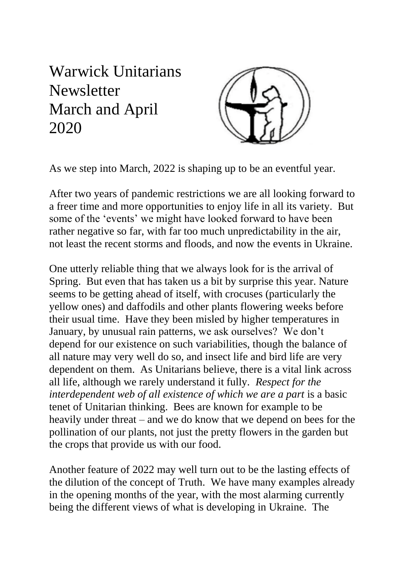## Warwick Unitarians **Newsletter** March and April 2020



As we step into March, 2022 is shaping up to be an eventful year.

After two years of pandemic restrictions we are all looking forward to a freer time and more opportunities to enjoy life in all its variety. But some of the 'events' we might have looked forward to have been rather negative so far, with far too much unpredictability in the air, not least the recent storms and floods, and now the events in Ukraine.

One utterly reliable thing that we always look for is the arrival of Spring. But even that has taken us a bit by surprise this year. Nature seems to be getting ahead of itself, with crocuses (particularly the yellow ones) and daffodils and other plants flowering weeks before their usual time. Have they been misled by higher temperatures in January, by unusual rain patterns, we ask ourselves? We don't depend for our existence on such variabilities, though the balance of all nature may very well do so, and insect life and bird life are very dependent on them. As Unitarians believe, there is a vital link across all life, although we rarely understand it fully*. Respect for the interdependent web of all existence of which we are a part* is a basic tenet of Unitarian thinking. Bees are known for example to be heavily under threat – and we do know that we depend on bees for the pollination of our plants, not just the pretty flowers in the garden but the crops that provide us with our food.

Another feature of 2022 may well turn out to be the lasting effects of the dilution of the concept of Truth. We have many examples already in the opening months of the year, with the most alarming currently being the different views of what is developing in Ukraine. The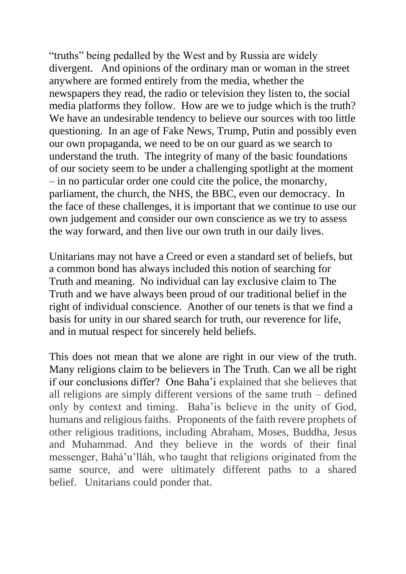"truths" being pedalled by the West and by Russia are widely divergent. And opinions of the ordinary man or woman in the street anywhere are formed entirely from the media, whether the newspapers they read, the radio or television they listen to, the social media platforms they follow. How are we to judge which is the truth? We have an undesirable tendency to believe our sources with too little questioning. In an age of Fake News, Trump, Putin and possibly even our own propaganda, we need to be on our guard as we search to understand the truth. The integrity of many of the basic foundations of our society seem to be under a challenging spotlight at the moment – in no particular order one could cite the police, the monarchy, parliament, the church, the NHS, the BBC, even our democracy. In the face of these challenges, it is important that we continue to use our own judgement and consider our own conscience as we try to assess the way forward, and then live our own truth in our daily lives.

Unitarians may not have a Creed or even a standard set of beliefs, but a common bond has always included this notion of searching for Truth and meaning. No individual can lay exclusive claim to The Truth and we have always been proud of our traditional belief in the right of individual conscience. Another of our tenets is that we find a basis for unity in our shared search for truth, our reverence for life, and in mutual respect for sincerely held beliefs.

This does not mean that we alone are right in our view of the truth. Many religions claim to be believers in The Truth. Can we all be right if our conclusions differ? One Baha'i explained that she believes that all religions are simply different versions of the same truth – defined only by context and timing. Baha'is believe in the unity of God, humans and religious faiths. Proponents of the faith revere prophets of other religious traditions, including Abraham, Moses, Buddha, Jesus and Muhammad. And they believe in the words of their final messenger, Bahá'u'lláh, who taught that religions originated from the same source, and were ultimately different paths to a shared belief. Unitarians could ponder that.